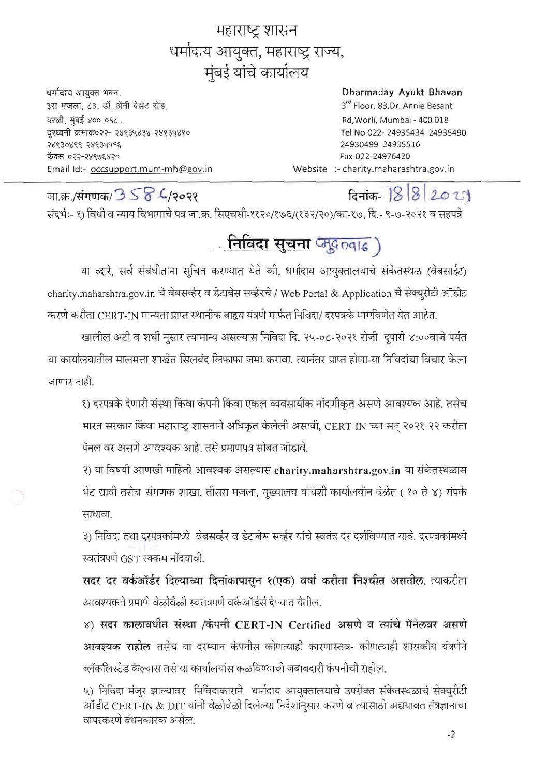## महाराष्ट्र शासन धर्मादाय आयुक्त, महाराष्ट्र राज्य, मुंबई यांचे कार्यालय

धर्मादाय आयुक्त भवन, ३रा मजला, ८३, डॉ. ॲनी बेझंट रोड, वरळी, मुंबई ४०० ०१८. दूरध्वनी क्रमांक०२२- २४९३५४३४ २४९३५४९० २४९३०४९९ २४९३५५१६ फॅक्स ०२२-२४९७६४२० Email Id:- occsupport.mum-mh@gov.in

## Dharmaday Ayukt Bhavan

3<sup>rd</sup> Floor, 83, Dr. Annie Besant Rd, Worli, Mumbai - 400 018 Tel No.022-24935434 24935490 24930499 24935516 Fax-022-24976420 Website :- charity.maharashtra.gov.in

जा.क्र./संगणक/3 58 - (२०२१

## दिनांक-  $|8|8|2021$

संदर्भः- १) विधी व न्याय विभागाचे पत्र जा.क्र. सिएचसी-११२०/१७६/(१३२/२०)/का-१७, दि.- ९-७-२०२१ व सहपत्रे

## <u>. निविदा सुचना (मुद्रालबाट)</u>

या व्दारे, सर्व संबंधीतांना सुचित करण्यात येते की, धर्मादाय आयुक्तालयाचे संकेतस्थळ (वेबसाईट) charity.maharshtra.gov.in चे वेबसर्व्हर व डेटाबेस सर्व्हरचे / Web Portal & Application चे सेक्युरीटी ऑडीट करणे करीता CERT-IN मान्यता प्राप्त स्थानीक बाह्रय यंत्रणे मार्फत निविदा/ दरपत्रके मार्गावणेत येत आहेत.

खालील अटी व शर्थी नुसार त्यामान्य असल्यास निविदा दि. २५-०८-२०२१ रोजी दुपारी ४:००वाजे पर्यंत या कार्यालयातील मालमत्ता शाखेत सिलबंद लिफाफा जमा करावा. त्यानंतर प्राप्त होणा-या निविदांचा विचार केला जाणार नाही.

१) दरपत्रके देणारी संस्था किंवा कंपनी किंवा एकल व्यवसायीक नोंदणीकृत असणे आवश्यक आहे. तसेच भारत सरकार किंवा महाराष्ट्र शासनाने अधिकृत केलेली असावी, CERT-IN च्या सन् २०२१-२२ करीता पॅनल वर असणे आवश्यक आहे. तसे प्रमाणपत्र सोबत जोडावे.

२) या विषयी आणखी माहिती आवश्यक असल्यास charity.maharshtra.gov.in या संकेतस्थळास भेट द्यावी तसेच संगणक शाखा, तीसरा मजला, मुख्यालय यांचेशी कार्यालयीन वेळेत ( १० ते ४) संपर्क साधावा.

३) निविदा तथा दरपत्रकांमध्ये वेबसर्व्हर व डेटाबेस सर्व्हर यांचे स्वतंत्र दर दर्शविण्यात यावे. दरपत्रकांमध्ये स्वतंत्रपणे GST रक्कम नोंदवावी.

सदर दर वर्कऑर्डर दिल्याच्या दिनांकापासुन १(एक) वर्षा करीता निश्चीत असतील. त्याकरीता आवश्यकते प्रमाणे वेळोवेळी स्वतंत्रपणे वर्कऑर्डर्स देण्यात येतील.

४) सदर कालावधीत संस्था /कंपनी CERT-IN Certified असणे व त्यांचे पॅनेलवर असणे आवश्यक राहील तसेच या दरम्यान कंपनीस कोणत्याही कारणास्तव- कोणत्याही शासकीय यंत्रणेने ब्लॅकलिस्टेड केल्यास तसे या कार्यालयांस कळविण्याची जबाबदारी कंपनीची राहील.

५) निविदा मंजुर झाल्यावर निविदाकाराने धर्मादाय आयुक्तालयाचे उपरोक्त संकेतस्थळाचे सेक्युरीटी ऑडीट CERT-IN & DIT यांनी वेळोवेळी दिलेल्या निर्देशांनुसार करणे व त्यासाठी अद्ययावत तंत्रज्ञानाचा वापरकरणे बंधनकारक असेल.

 $-2$